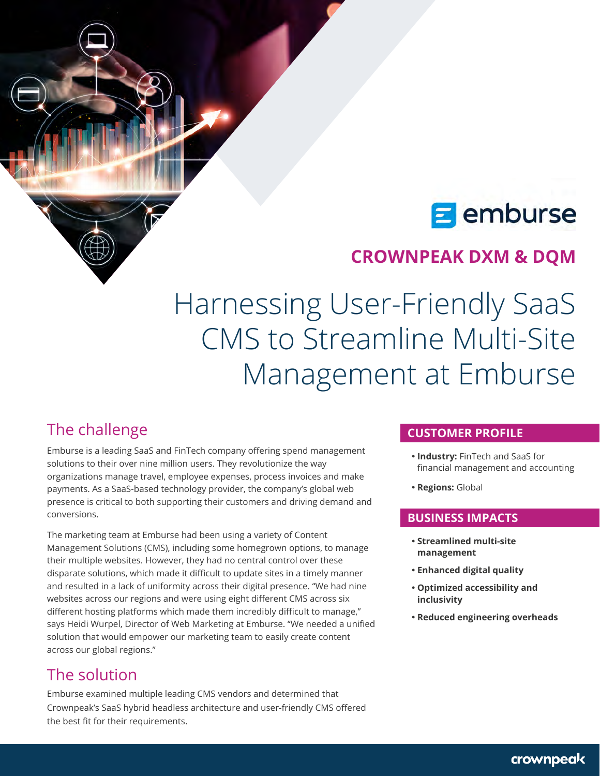# **E** emburse

# **CROWNPEAK DXM & DQM**

# Harnessing User-Friendly SaaS CMS to Streamline Multi-Site Management at Emburse

### The challenge

Emburse is a leading SaaS and FinTech company offering spend management solutions to their over nine million users. They revolutionize the way organizations manage travel, employee expenses, process invoices and make payments. As a SaaS-based technology provider, the company's global web presence is critical to both supporting their customers and driving demand and conversions.

The marketing team at Emburse had been using a variety of Content Management Solutions (CMS), including some homegrown options, to manage their multiple websites. However, they had no central control over these disparate solutions, which made it difficult to update sites in a timely manner and resulted in a lack of uniformity across their digital presence. "We had nine websites across our regions and were using eight different CMS across six different hosting platforms which made them incredibly difficult to manage," says Heidi Wurpel, Director of Web Marketing at Emburse. "We needed a unified solution that would empower our marketing team to easily create content across our global regions."

## The solution

Emburse examined multiple leading CMS vendors and determined that Crownpeak's SaaS hybrid headless architecture and user-friendly CMS offered the best fit for their requirements.

#### **CUSTOMER PROFILE**

- **Industry: FinTech and SaaS for** financial management and accounting
- **Regions: Global**

#### **BUSINESS IMPACTS**

- y **Streamlined multi-site management**
- y **Enhanced digital quality**
- y **Optimized accessibility and inclusivity**
- **Reduced engineering overheads**